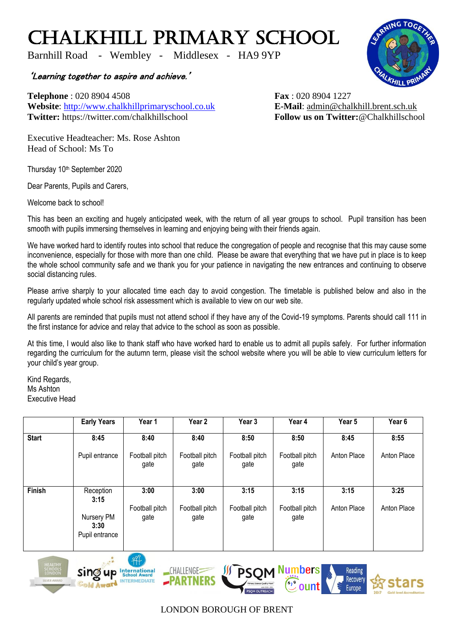## CHALKHILL PRIMARY SCHOOL

Barnhill Road - Wembley - Middlesex - HA9 9YP

'Learning together to aspire and achieve.'

**Telephone** : 020 8904 4508 **Fax** : 020 8904 1227 **Website**: [http://www.chalkhillprimaryschool.co.uk](http://www.chalkhillprimaryschool.co.uk/) **E-Mail**: [admin@chalkhill.brent.sch.uk](mailto:admin@chalkhill.brent.sch.uk) **Twitter:** https://twitter.com/chalkhillschool **Follow us on Twitter:**@Chalkhillschool

Executive Headteacher: Ms. Rose Ashton Head of School: Ms To

Thursday 10<sup>th</sup> September 2020

Dear Parents, Pupils and Carers,

Welcome back to school!

This has been an exciting and hugely anticipated week, with the return of all year groups to school. Pupil transition has been smooth with pupils immersing themselves in learning and enjoying being with their friends again.

We have worked hard to identify routes into school that reduce the congregation of people and recognise that this may cause some inconvenience, especially for those with more than one child. Please be aware that everything that we have put in place is to keep the whole school community safe and we thank you for your patience in navigating the new entrances and continuing to observe social distancing rules.

Please arrive sharply to your allocated time each day to avoid congestion. The timetable is published below and also in the regularly updated whole school risk assessment which is available to view on our web site.

All parents are reminded that pupils must not attend school if they have any of the Covid-19 symptoms. Parents should call 111 in the first instance for advice and relay that advice to the school as soon as possible.

At this time, I would also like to thank staff who have worked hard to enable us to admit all pupils safely. For further information regarding the curriculum for the autumn term, please visit the school website where you will be able to view curriculum letters for your child's year group.

Kind Regards, Ms Ashton Executive Head

|              | <b>Early Years</b>                   | Year 1                 | Year 2                 | Year 3                 | Year 4                 | Year 5             | Year 6      |
|--------------|--------------------------------------|------------------------|------------------------|------------------------|------------------------|--------------------|-------------|
| <b>Start</b> | 8:45                                 | 8:40                   | 8:40                   | 8:50                   | 8:50                   | 8:45               | 8:55        |
|              | Pupil entrance                       | Football pitch<br>gate | Football pitch<br>gate | Football pitch<br>gate | Football pitch<br>gate | Anton Place        | Anton Place |
| Finish       | Reception                            | 3:00                   | 3:00                   | 3:15                   | 3:15                   | 3:15               | 3:25        |
|              | 3:15                                 |                        |                        |                        |                        |                    |             |
|              | Nursery PM<br>3:30<br>Pupil entrance | Football pitch<br>gate | Football pitch<br>gate | Football pitch<br>gate | Football pitch<br>gate | <b>Anton Place</b> | Anton Place |









## LONDON BOROUGH OF BRENT